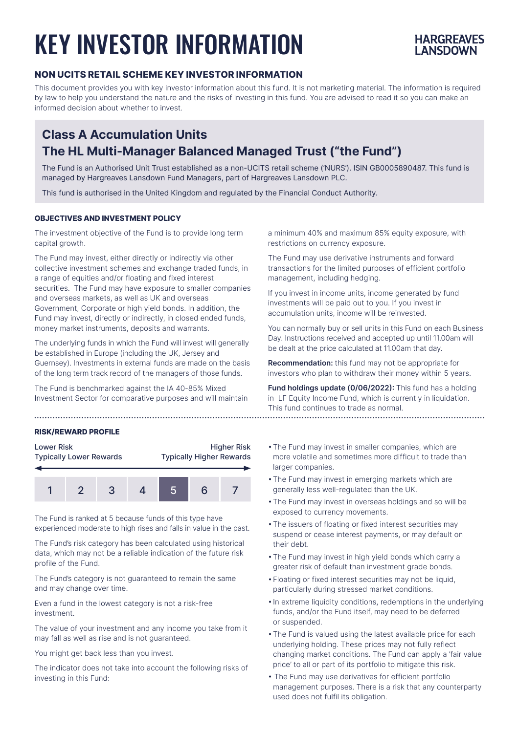# KEY INVESTOR INFORMATION



### **NON UCITS RETAIL SCHEME KEY INVESTOR INFORMATION**

This document provides you with key investor information about this fund. It is not marketing material. The information is required by law to help you understand the nature and the risks of investing in this fund. You are advised to read it so you can make an informed decision about whether to invest.

## **Class A Accumulation Units The HL Multi-Manager Balanced Managed Trust ("the Fund")**

The Fund is an Authorised Unit Trust established as a non-UCITS retail scheme ('NURS'). ISIN GB0005890487. This fund is managed by Hargreaves Lansdown Fund Managers, part of Hargreaves Lansdown PLC.

This fund is authorised in the United Kingdom and regulated by the Financial Conduct Authority.

#### **OBJECTIVES AND INVESTMENT POLICY**

The investment objective of the Fund is to provide long term capital growth.

The Fund may invest, either directly or indirectly via other collective investment schemes and exchange traded funds, in a range of equities and/or floating and fixed interest securities. The Fund may have exposure to smaller companies and overseas markets, as well as UK and overseas Government, Corporate or high yield bonds. In addition, the Fund may invest, directly or indirectly, in closed ended funds, money market instruments, deposits and warrants.

The underlying funds in which the Fund will invest will generally be established in Europe (including the UK, Jersey and Guernsey). Investments in external funds are made on the basis of the long term track record of the managers of those funds.

The Fund is benchmarked against the IA 40-85% Mixed Investment Sector for comparative purposes and will maintain

#### **RISK/REWARD PROFILE**

| <b>Lower Risk</b>              | <b>Higher Risk</b>              |
|--------------------------------|---------------------------------|
| <b>Typically Lower Rewards</b> | <b>Typically Higher Rewards</b> |
|                                |                                 |



The Fund is ranked at 5 because funds of this type have experienced moderate to high rises and falls in value in the past.

The Fund's risk category has been calculated using historical data, which may not be a reliable indication of the future risk profile of the Fund.

The Fund's category is not guaranteed to remain the same and may change over time.

Even a fund in the lowest category is not a risk-free investment.

The value of your investment and any income you take from it may fall as well as rise and is not guaranteed.

You might get back less than you invest.

The indicator does not take into account the following risks of investing in this Fund:

a minimum 40% and maximum 85% equity exposure, with restrictions on currency exposure.

The Fund may use derivative instruments and forward transactions for the limited purposes of efficient portfolio management, including hedging.

If you invest in income units, income generated by fund investments will be paid out to you. If you invest in accumulation units, income will be reinvested.

You can normally buy or sell units in this Fund on each Business Day. Instructions received and accepted up until 11.00am will be dealt at the price calculated at 11.00am that day.

**Recommendation:** this fund may not be appropriate for investors who plan to withdraw their money within 5 years.

**Fund holdings update (0/06/2022):** This fund has a holding in LF Equity Income Fund, which is currently in liquidation. This fund continues to trade as normal. 

- •The Fund may invest in smaller companies, which are more volatile and sometimes more difficult to trade than larger companies.
- •The Fund may invest in emerging markets which are generally less well-regulated than the UK.
- •The Fund may invest in overseas holdings and so will be exposed to currency movements.
- •The issuers of floating or fixed interest securities may suspend or cease interest payments, or may default on their debt.
- •The Fund may invest in high yield bonds which carry a greater risk of default than investment grade bonds.
- •Floating or fixed interest securities may not be liquid, particularly during stressed market conditions.
- •In extreme liquidity conditions, redemptions in the underlying funds, and/or the Fund itself, may need to be deferred or suspended.
- •The Fund is valued using the latest available price for each underlying holding. These prices may not fully reflect changing market conditions. The Fund can apply a 'fair value price' to all or part of its portfolio to mitigate this risk.
- The Fund may use derivatives for efficient portfolio management purposes. There is a risk that any counterparty used does not fulfil its obligation.